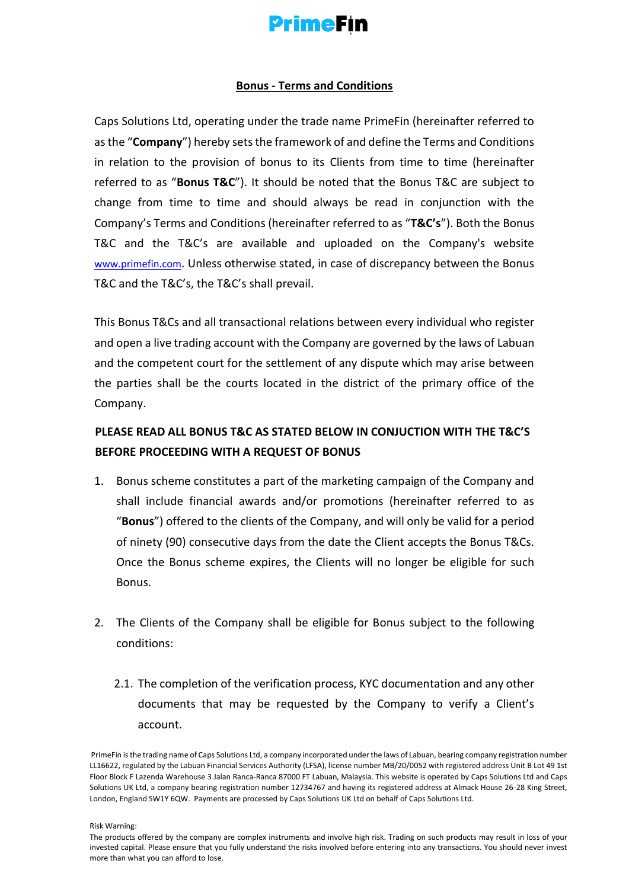

## **Bonus - Terms and Conditions**

Caps Solutions Ltd, operating under the trade name PrimeFin (hereinafter referred to as the "**Company**") hereby sets the framework of and define the Terms and Conditions in relation to the provision of bonus to its Clients from time to time (hereinafter referred to as "**Bonus T&C**"). It should be noted that the Bonus T&C are subject to change from time to time and should always be read in conjunction with the Company's Terms and Conditions (hereinafter referred to as "**T&C's**"). Both the Bonus T&C and the T&C's are available and uploaded on the Company's website [www.primefin.co](http://www.primefin.com/)[m](https://content-za.markets.com/pdf/en/terms-and-conditions-for-incentives-and-loyalty-awards.pdf)[. Un](https://content-za.markets.com/pdf/en/terms-and-conditions-for-incentives-and-loyalty-awards.pdf)less otherwise stated, in case of discrepancy between the Bonus T&C and the T&C's, the T&C's shall prevail.

This Bonus T&Cs and all transactional relations between every individual who register and open a live trading account with the Company are governed by the laws of Labuan and the competent court for the settlement of any dispute which may arise between the parties shall be the courts located in the district of the primary office of the Company.

## **PLEASE READ ALL BONUS T&C AS STATED BELOW IN CONJUCTION WITH THE T&C'S BEFORE PROCEEDING WITH A REQUEST OF BONUS**

- 1. Bonus scheme constitutes a part of the marketing campaign of the Company and shall include financial awards and/or promotions (hereinafter referred to as "**Bonus**") offered to the clients of the Company, and will only be valid for a period of ninety (90) consecutive days from the date the Client accepts the Bonus T&Cs. Once the Bonus scheme expires, the Clients will no longer be eligible for such Bonus.
- 2. The Clients of the Company shall be eligible for Bonus subject to the following conditions:
	- 2.1. The completion of the verification process, KYC documentation and any other documents that may be requested by the Company to verify a Client's account.

PrimeFin is the trading name of Caps Solutions Ltd, a company incorporated under the laws of Labuan, bearing company registration number LL16622, regulated by the Labuan Financial Services Authority (LFSA), license number MB/20/0052 with registered address Unit B Lot 49 1st Floor Block F Lazenda Warehouse 3 Jalan Ranca-Ranca 87000 FT Labuan, Malaysia. This website is operated by Caps Solutions Ltd and Caps Solutions UK Ltd, a company bearing registration number 12734767 and having its registered address at Almack House 26-28 King Street, London, England SW1Y 6QW. Payments are processed by Caps Solutions UK Ltd on behalf of Caps Solutions Ltd.

The products offered by the company are complex instruments and involve high risk. Trading on such products may result in loss of your invested capital. Please ensure that you fully understand the risks involved before entering into any transactions. You should never invest more than what you can afford to lose.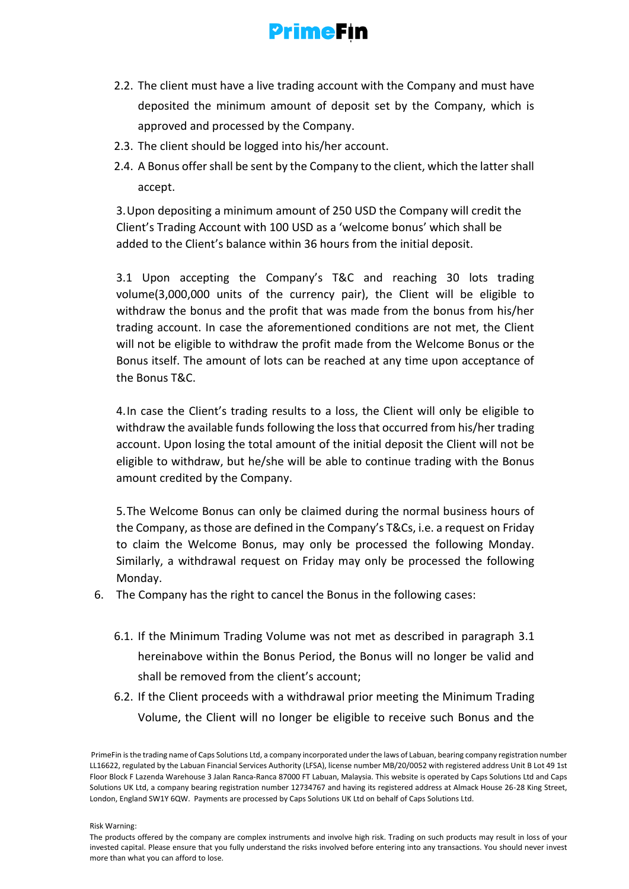

- 2.2. The client must have a live trading account with the Company and must have deposited the minimum amount of deposit set by the Company, which is approved and processed by the Company.
- 2.3. The client should be logged into his/her account.
- 2.4. A Bonus offer shall be sent by the Company to the client, which the latter shall accept.

3.Upon depositing a minimum amount of 250 USD the Company will credit the Client's Trading Account with 100 USD as a 'welcome bonus' which shall be added to the Client's balance within 36 hours from the initial deposit.

3.1 Upon accepting the Company's T&C and reaching 30 lots trading volume(3,000,000 units of the currency pair), the Client will be eligible to withdraw the bonus and the profit that was made from the bonus from his/her trading account. In case the aforementioned conditions are not met, the Client will not be eligible to withdraw the profit made from the Welcome Bonus or the Bonus itself. The amount of lots can be reached at any time upon acceptance of the Bonus T&C.

4.In case the Client's trading results to a loss, the Client will only be eligible to withdraw the available funds following the loss that occurred from his/her trading account. Upon losing the total amount of the initial deposit the Client will not be eligible to withdraw, but he/she will be able to continue trading with the Bonus amount credited by the Company.

5.The Welcome Bonus can only be claimed during the normal business hours of the Company, as those are defined in the Company's T&Cs, i.e. a request on Friday to claim the Welcome Bonus, may only be processed the following Monday. Similarly, a withdrawal request on Friday may only be processed the following Monday.

- 6. The Company has the right to cancel the Bonus in the following cases:
	- 6.1. If the Minimum Trading Volume was not met as described in paragraph 3.1 hereinabove within the Bonus Period, the Bonus will no longer be valid and shall be removed from the client's account;
	- 6.2. If the Client proceeds with a withdrawal prior meeting the Minimum Trading Volume, the Client will no longer be eligible to receive such Bonus and the

PrimeFin is the trading name of Caps Solutions Ltd, a company incorporated under the laws of Labuan, bearing company registration number LL16622, regulated by the Labuan Financial Services Authority (LFSA), license number MB/20/0052 with registered address Unit B Lot 49 1st Floor Block F Lazenda Warehouse 3 Jalan Ranca-Ranca 87000 FT Labuan, Malaysia. This website is operated by Caps Solutions Ltd and Caps Solutions UK Ltd, a company bearing registration number 12734767 and having its registered address at Almack House 26-28 King Street, London, England SW1Y 6QW. Payments are processed by Caps Solutions UK Ltd on behalf of Caps Solutions Ltd.

The products offered by the company are complex instruments and involve high risk. Trading on such products may result in loss of your invested capital. Please ensure that you fully understand the risks involved before entering into any transactions. You should never invest more than what you can afford to lose.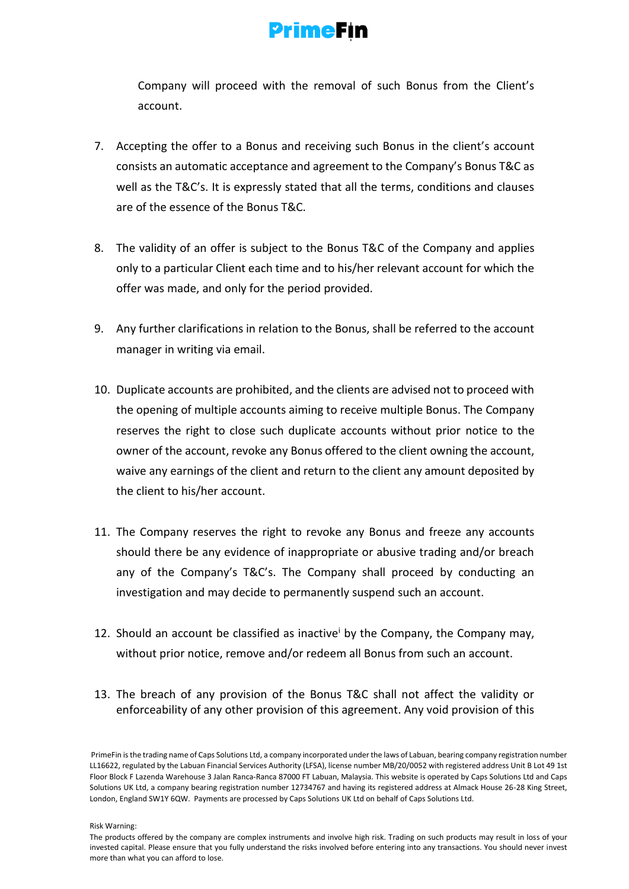

Company will proceed with the removal of such Bonus from the Client's account.

- 7. Accepting the offer to a Bonus and receiving such Bonus in the client's account consists an automatic acceptance and agreement to the Company's Bonus T&C as well as the T&C's. It is expressly stated that all the terms, conditions and clauses are of the essence of the Bonus T&C.
- 8. The validity of an offer is subject to the Bonus T&C of the Company and applies only to a particular Client each time and to his/her relevant account for which the offer was made, and only for the period provided.
- 9. Any further clarifications in relation to the Bonus, shall be referred to the account manager in writing via email.
- 10. Duplicate accounts are prohibited, and the clients are advised not to proceed with the opening of multiple accounts aiming to receive multiple Bonus. The Company reserves the right to close such duplicate accounts without prior notice to the owner of the account, revoke any Bonus offered to the client owning the account, waive any earnings of the client and return to the client any amount deposited by the client to his/her account.
- 11. The Company reserves the right to revoke any Bonus and freeze any accounts should there be any evidence of inappropriate or abusive trading and/or breach any of the Company's T&C's. The Company shall proceed by conducting an investigation and may decide to permanently suspend such an account.
- 12. Should an account be classified as inactive by the Company, the Company may, without prior notice, remove and/or redeem all Bonus from such an account.
- 13. The breach of any provision of the Bonus T&C shall not affect the validity or enforceability of any other provision of this agreement. Any void provision of this

PrimeFin is the trading name of Caps Solutions Ltd, a company incorporated under the laws of Labuan, bearing company registration number LL16622, regulated by the Labuan Financial Services Authority (LFSA), license number MB/20/0052 with registered address Unit B Lot 49 1st Floor Block F Lazenda Warehouse 3 Jalan Ranca-Ranca 87000 FT Labuan, Malaysia. This website is operated by Caps Solutions Ltd and Caps Solutions UK Ltd, a company bearing registration number 12734767 and having its registered address at Almack House 26-28 King Street, London, England SW1Y 6QW. Payments are processed by Caps Solutions UK Ltd on behalf of Caps Solutions Ltd.

The products offered by the company are complex instruments and involve high risk. Trading on such products may result in loss of your invested capital. Please ensure that you fully understand the risks involved before entering into any transactions. You should never invest more than what you can afford to lose.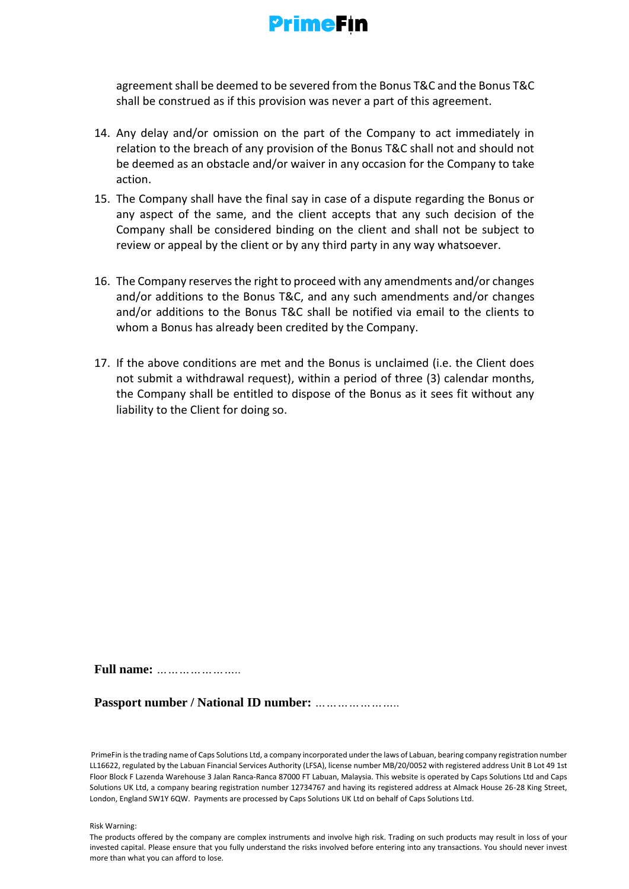

agreement shall be deemed to be severed from the Bonus T&C and the Bonus T&C shall be construed as if this provision was never a part of this agreement.

- 14. Any delay and/or omission on the part of the Company to act immediately in relation to the breach of any provision of the Bonus T&C shall not and should not be deemed as an obstacle and/or waiver in any occasion for the Company to take action.
- 15. The Company shall have the final say in case of a dispute regarding the Bonus or any aspect of the same, and the client accepts that any such decision of the Company shall be considered binding on the client and shall not be subject to review or appeal by the client or by any third party in any way whatsoever.
- 16. The Company reserves the right to proceed with any amendments and/or changes and/or additions to the Bonus T&C, and any such amendments and/or changes and/or additions to the Bonus T&C shall be notified via email to the clients to whom a Bonus has already been credited by the Company.
- 17. If the above conditions are met and the Bonus is unclaimed (i.e. the Client does not submit a withdrawal request), within a period of three (3) calendar months, the Company shall be entitled to dispose of the Bonus as it sees fit without any liability to the Client for doing so.

**Full name:** *…………………..* 

**Passport number / National ID number:** *…………………..* 

PrimeFin is the trading name of Caps Solutions Ltd, a company incorporated under the laws of Labuan, bearing company registration number LL16622, regulated by the Labuan Financial Services Authority (LFSA), license number MB/20/0052 with registered address Unit B Lot 49 1st Floor Block F Lazenda Warehouse 3 Jalan Ranca-Ranca 87000 FT Labuan, Malaysia. This website is operated by Caps Solutions Ltd and Caps Solutions UK Ltd, a company bearing registration number 12734767 and having its registered address at Almack House 26-28 King Street, London, England SW1Y 6QW. Payments are processed by Caps Solutions UK Ltd on behalf of Caps Solutions Ltd.

The products offered by the company are complex instruments and involve high risk. Trading on such products may result in loss of your invested capital. Please ensure that you fully understand the risks involved before entering into any transactions. You should never invest more than what you can afford to lose.